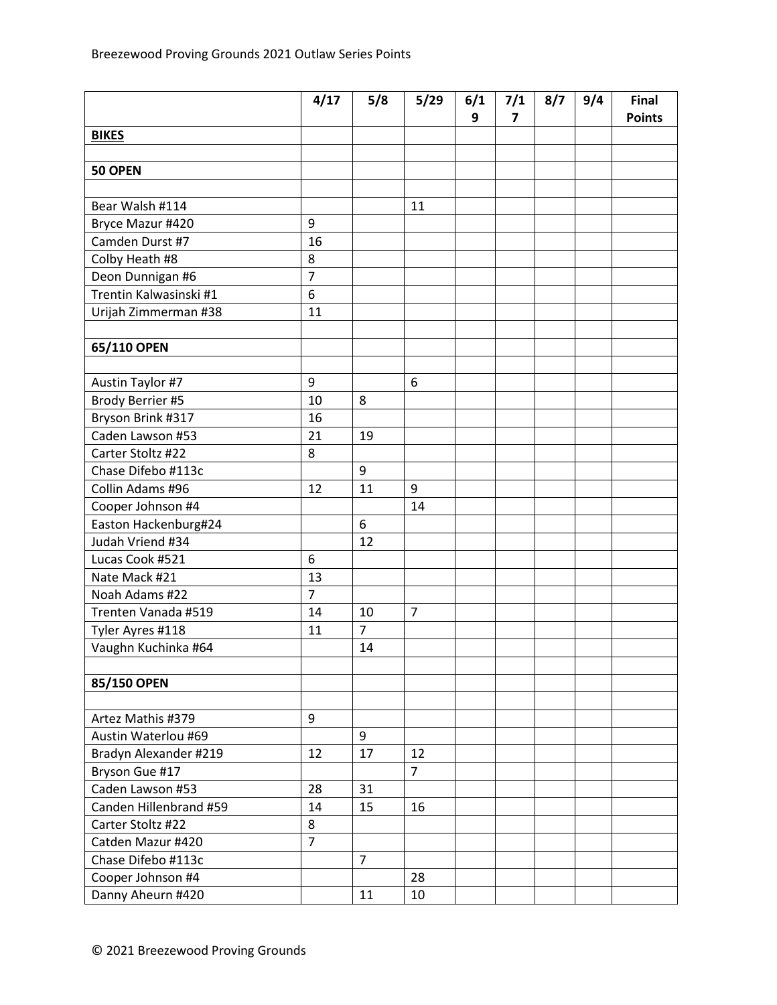|                        | 4/17           | 5/8            | 5/29           | 6/1 | 7/1 | 8/7 | 9/4 | Final         |
|------------------------|----------------|----------------|----------------|-----|-----|-----|-----|---------------|
|                        |                |                |                | 9   | 7   |     |     | <b>Points</b> |
| <b>BIKES</b>           |                |                |                |     |     |     |     |               |
| 50 OPEN                |                |                |                |     |     |     |     |               |
|                        |                |                |                |     |     |     |     |               |
| Bear Walsh #114        |                |                | 11             |     |     |     |     |               |
| Bryce Mazur #420       | 9              |                |                |     |     |     |     |               |
| Camden Durst #7        | 16             |                |                |     |     |     |     |               |
| Colby Heath #8         | 8              |                |                |     |     |     |     |               |
| Deon Dunnigan #6       | $\overline{7}$ |                |                |     |     |     |     |               |
| Trentin Kalwasinski #1 | 6              |                |                |     |     |     |     |               |
| Urijah Zimmerman #38   | 11             |                |                |     |     |     |     |               |
|                        |                |                |                |     |     |     |     |               |
| 65/110 OPEN            |                |                |                |     |     |     |     |               |
|                        |                |                |                |     |     |     |     |               |
| Austin Taylor #7       | 9              |                | 6              |     |     |     |     |               |
| Brody Berrier #5       | 10             | 8              |                |     |     |     |     |               |
| Bryson Brink #317      | 16             |                |                |     |     |     |     |               |
| Caden Lawson #53       | 21             | 19             |                |     |     |     |     |               |
| Carter Stoltz #22      | 8              |                |                |     |     |     |     |               |
| Chase Difebo #113c     |                | 9              |                |     |     |     |     |               |
| Collin Adams #96       | 12             | 11             | 9              |     |     |     |     |               |
| Cooper Johnson #4      |                |                | 14             |     |     |     |     |               |
| Easton Hackenburg#24   |                | 6              |                |     |     |     |     |               |
| Judah Vriend #34       |                | 12             |                |     |     |     |     |               |
| Lucas Cook #521        | 6              |                |                |     |     |     |     |               |
| Nate Mack #21          | 13             |                |                |     |     |     |     |               |
| Noah Adams #22         | $\overline{7}$ |                |                |     |     |     |     |               |
| Trenten Vanada #519    | 14             | 10             | $\overline{7}$ |     |     |     |     |               |
| Tyler Ayres #118       | 11             | $\overline{7}$ |                |     |     |     |     |               |
| Vaughn Kuchinka #64    |                | 14             |                |     |     |     |     |               |
|                        |                |                |                |     |     |     |     |               |
| 85/150 OPEN            |                |                |                |     |     |     |     |               |
|                        |                |                |                |     |     |     |     |               |
| Artez Mathis #379      | 9              |                |                |     |     |     |     |               |
| Austin Waterlou #69    |                | 9              |                |     |     |     |     |               |
| Bradyn Alexander #219  | 12             | 17             | 12             |     |     |     |     |               |
| Bryson Gue #17         |                |                | $\overline{7}$ |     |     |     |     |               |
| Caden Lawson #53       | 28             | 31             |                |     |     |     |     |               |
| Canden Hillenbrand #59 | 14             | 15             | 16             |     |     |     |     |               |
| Carter Stoltz #22      | 8              |                |                |     |     |     |     |               |
| Catden Mazur #420      | $\overline{7}$ |                |                |     |     |     |     |               |
| Chase Difebo #113c     |                | $\overline{7}$ |                |     |     |     |     |               |
| Cooper Johnson #4      |                |                | 28             |     |     |     |     |               |
| Danny Aheurn #420      |                | 11             | 10             |     |     |     |     |               |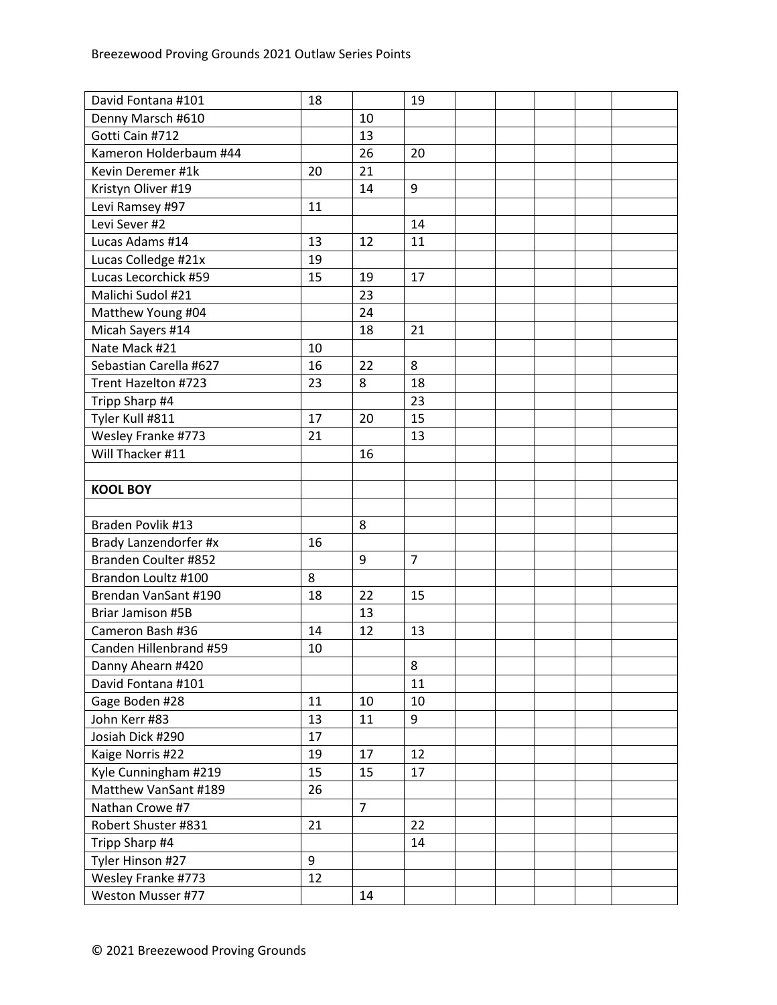| David Fontana #101       | 18 |                | 19             |  |  |  |
|--------------------------|----|----------------|----------------|--|--|--|
| Denny Marsch #610        |    | 10             |                |  |  |  |
| Gotti Cain #712          |    | 13             |                |  |  |  |
| Kameron Holderbaum #44   |    | 26             | 20             |  |  |  |
| Kevin Deremer #1k        | 20 | 21             |                |  |  |  |
| Kristyn Oliver #19       |    | 14             | 9              |  |  |  |
| Levi Ramsey #97          | 11 |                |                |  |  |  |
| Levi Sever #2            |    |                | 14             |  |  |  |
| Lucas Adams #14          | 13 | 12             | 11             |  |  |  |
| Lucas Colledge #21x      | 19 |                |                |  |  |  |
| Lucas Lecorchick #59     | 15 | 19             | 17             |  |  |  |
| Malichi Sudol #21        |    | 23             |                |  |  |  |
| Matthew Young #04        |    | 24             |                |  |  |  |
| Micah Sayers #14         |    | 18             | 21             |  |  |  |
| Nate Mack #21            | 10 |                |                |  |  |  |
| Sebastian Carella #627   | 16 | 22             | 8              |  |  |  |
| Trent Hazelton #723      | 23 | 8              | 18             |  |  |  |
| Tripp Sharp #4           |    |                | 23             |  |  |  |
| Tyler Kull #811          | 17 | 20             | 15             |  |  |  |
| Wesley Franke #773       | 21 |                | 13             |  |  |  |
| Will Thacker #11         |    | 16             |                |  |  |  |
|                          |    |                |                |  |  |  |
| <b>KOOL BOY</b>          |    |                |                |  |  |  |
|                          |    |                |                |  |  |  |
| Braden Povlik #13        |    | 8              |                |  |  |  |
| Brady Lanzendorfer #x    | 16 |                |                |  |  |  |
| Branden Coulter #852     |    | 9              | $\overline{7}$ |  |  |  |
| Brandon Loultz #100      | 8  |                |                |  |  |  |
| Brendan VanSant #190     | 18 | 22             | 15             |  |  |  |
| <b>Briar Jamison #5B</b> |    | 13             |                |  |  |  |
| Cameron Bash #36         | 14 | 12             | 13             |  |  |  |
| Canden Hillenbrand #59   | 10 |                |                |  |  |  |
| Danny Ahearn #420        |    |                | 8              |  |  |  |
| David Fontana #101       |    |                | 11             |  |  |  |
| Gage Boden #28           | 11 | 10             | 10             |  |  |  |
| John Kerr #83            | 13 | 11             | 9              |  |  |  |
| Josiah Dick #290         | 17 |                |                |  |  |  |
| Kaige Norris #22         | 19 | 17             | 12             |  |  |  |
| Kyle Cunningham #219     | 15 | 15             | 17             |  |  |  |
| Matthew VanSant #189     | 26 |                |                |  |  |  |
| Nathan Crowe #7          |    | $\overline{7}$ |                |  |  |  |
| Robert Shuster #831      | 21 |                | 22             |  |  |  |
| Tripp Sharp #4           |    |                | 14             |  |  |  |
| Tyler Hinson #27         | 9  |                |                |  |  |  |
| Wesley Franke #773       | 12 |                |                |  |  |  |
| Weston Musser #77        |    | 14             |                |  |  |  |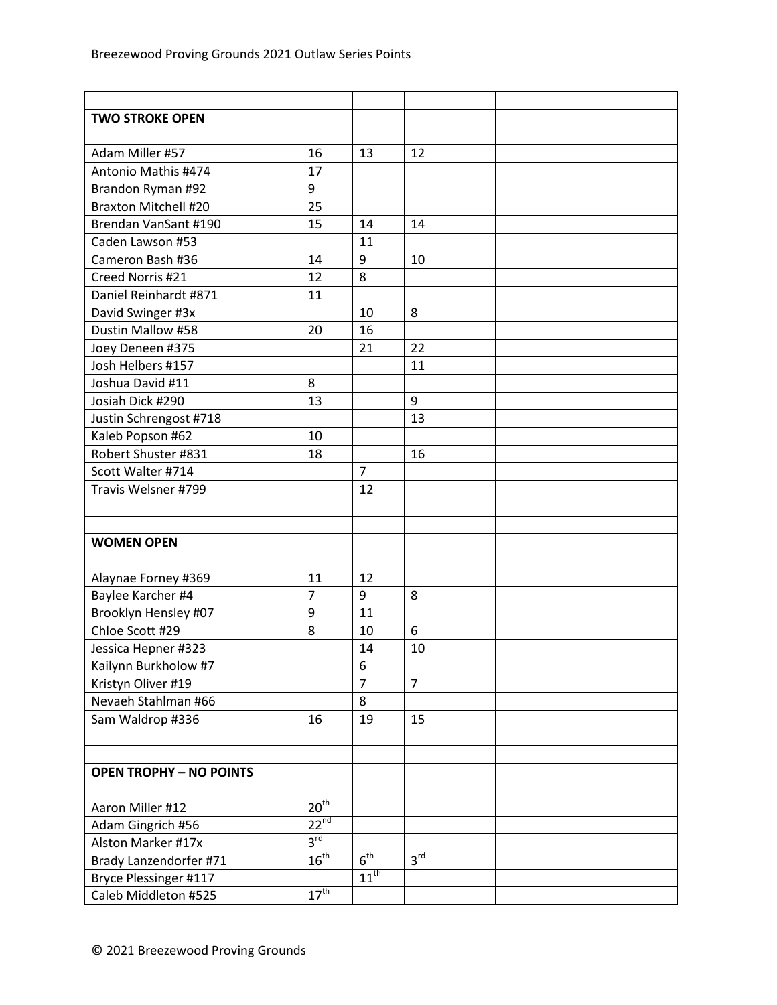| <b>TWO STROKE OPEN</b>         |                  |                  |                 |  |  |  |
|--------------------------------|------------------|------------------|-----------------|--|--|--|
|                                |                  |                  |                 |  |  |  |
| Adam Miller #57                | 16               | 13               | 12              |  |  |  |
| Antonio Mathis #474            | 17               |                  |                 |  |  |  |
| Brandon Ryman #92              | 9                |                  |                 |  |  |  |
| <b>Braxton Mitchell #20</b>    | 25               |                  |                 |  |  |  |
| Brendan VanSant #190           | 15               | 14               | 14              |  |  |  |
| Caden Lawson #53               |                  | 11               |                 |  |  |  |
| Cameron Bash #36               | 14               | 9                | 10              |  |  |  |
| Creed Norris #21               | 12               | 8                |                 |  |  |  |
| Daniel Reinhardt #871          | 11               |                  |                 |  |  |  |
| David Swinger #3x              |                  | 10               | 8               |  |  |  |
| Dustin Mallow #58              | 20               | 16               |                 |  |  |  |
| Joey Deneen #375               |                  | 21               | 22              |  |  |  |
| Josh Helbers #157              |                  |                  | 11              |  |  |  |
| Joshua David #11               | 8                |                  |                 |  |  |  |
| Josiah Dick #290               | 13               |                  | 9               |  |  |  |
| Justin Schrengost #718         |                  |                  | 13              |  |  |  |
| Kaleb Popson #62               | 10               |                  |                 |  |  |  |
| Robert Shuster #831            | 18               |                  | 16              |  |  |  |
| Scott Walter #714              |                  | $\overline{7}$   |                 |  |  |  |
| Travis Welsner #799            |                  | 12               |                 |  |  |  |
|                                |                  |                  |                 |  |  |  |
|                                |                  |                  |                 |  |  |  |
| <b>WOMEN OPEN</b>              |                  |                  |                 |  |  |  |
|                                |                  |                  |                 |  |  |  |
| Alaynae Forney #369            | 11               | 12               |                 |  |  |  |
| Baylee Karcher #4              | $\overline{7}$   | 9                | 8               |  |  |  |
| Brooklyn Hensley #07           | 9                | 11               |                 |  |  |  |
| Chloe Scott #29                | 8                | 10               | 6               |  |  |  |
| Jessica Hepner #323            |                  | 14               | 10              |  |  |  |
| Kailynn Burkholow #7           |                  | 6                |                 |  |  |  |
| Kristyn Oliver #19             |                  | $\overline{7}$   | $\overline{7}$  |  |  |  |
| Nevaeh Stahlman #66            |                  | 8                |                 |  |  |  |
| Sam Waldrop #336               | 16               | 19               | 15              |  |  |  |
|                                |                  |                  |                 |  |  |  |
|                                |                  |                  |                 |  |  |  |
| <b>OPEN TROPHY - NO POINTS</b> |                  |                  |                 |  |  |  |
|                                |                  |                  |                 |  |  |  |
| Aaron Miller #12               | 20 <sup>th</sup> |                  |                 |  |  |  |
| Adam Gingrich #56              | $22^{nd}$        |                  |                 |  |  |  |
| Alston Marker #17x             | $3^{\text{rd}}$  |                  |                 |  |  |  |
| Brady Lanzendorfer #71         | $16^{\text{th}}$ | 6 <sup>th</sup>  | 3 <sup>rd</sup> |  |  |  |
| Bryce Plessinger #117          |                  | $11^{\text{th}}$ |                 |  |  |  |
| Caleb Middleton #525           | $17^{\text{th}}$ |                  |                 |  |  |  |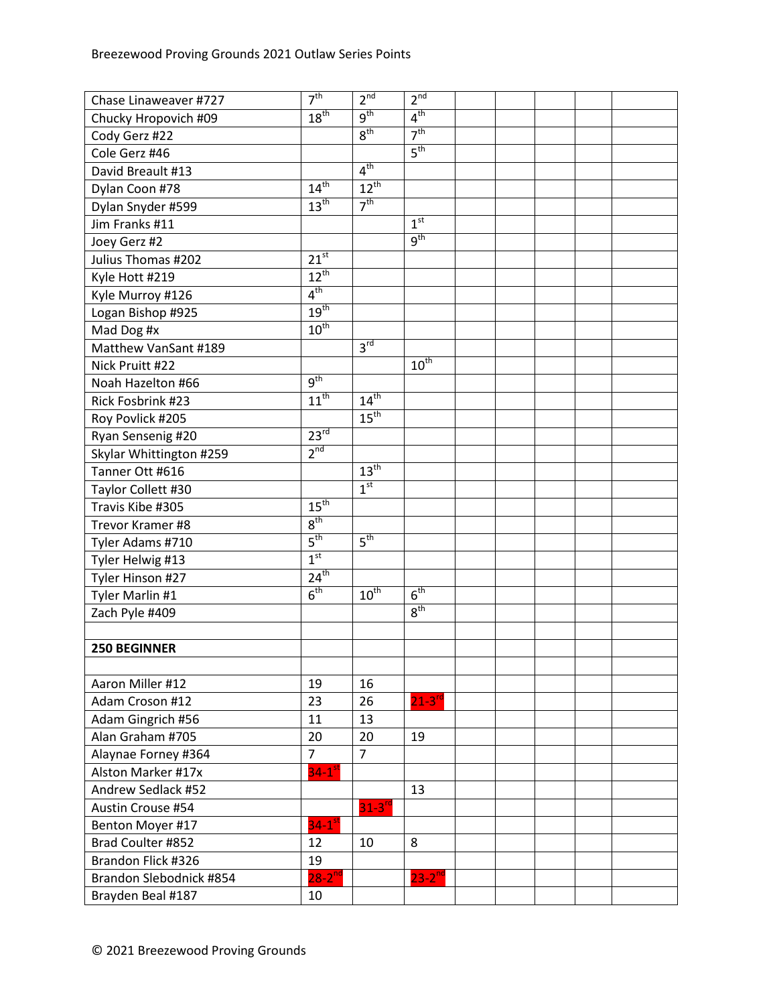| Chase Linaweaver #727   | 7 <sup>th</sup>      | 2 <sup>nd</sup>      | 2 <sup>nd</sup> |  |  |  |
|-------------------------|----------------------|----------------------|-----------------|--|--|--|
| Chucky Hropovich #09    | 18 <sup>th</sup>     | 9 <sup>th</sup>      | 4 <sup>th</sup> |  |  |  |
| Cody Gerz #22           |                      | 8 <sup>th</sup>      | 7 <sup>th</sup> |  |  |  |
| Cole Gerz #46           |                      |                      | 5 <sup>th</sup> |  |  |  |
| David Breault #13       |                      | 4 <sup>th</sup>      |                 |  |  |  |
| Dylan Coon #78          | 14 <sup>th</sup>     | $12^{th}$            |                 |  |  |  |
| Dylan Snyder #599       | 13 <sup>th</sup>     | 7 <sup>th</sup>      |                 |  |  |  |
| Jim Franks #11          |                      |                      | 1 <sup>st</sup> |  |  |  |
| Joey Gerz #2            |                      |                      | 9 <sup>th</sup> |  |  |  |
| Julius Thomas #202      | 21 <sup>st</sup>     |                      |                 |  |  |  |
| Kyle Hott #219          | $12^{th}$            |                      |                 |  |  |  |
| Kyle Murroy #126        | 4 <sup>th</sup>      |                      |                 |  |  |  |
| Logan Bishop #925       | 19 <sup>th</sup>     |                      |                 |  |  |  |
| Mad Dog #x              | $10^{\text{th}}$     |                      |                 |  |  |  |
| Matthew VanSant #189    |                      | $3^{\text{rd}}$      |                 |  |  |  |
| Nick Pruitt #22         |                      |                      | $10^{th}$       |  |  |  |
| Noah Hazelton #66       | $9^{\text{th}}$      |                      |                 |  |  |  |
| Rick Fosbrink #23       | $11^{th}$            | 14 <sup>th</sup>     |                 |  |  |  |
| Roy Povlick #205        |                      | 15 <sup>th</sup>     |                 |  |  |  |
| Ryan Sensenig #20       | $23^{rd}$            |                      |                 |  |  |  |
| Skylar Whittington #259 | $2^{nd}$             |                      |                 |  |  |  |
| Tanner Ott #616         |                      | 13 <sup>th</sup>     |                 |  |  |  |
| Taylor Collett #30      |                      | 1 <sup>st</sup>      |                 |  |  |  |
| Travis Kibe #305        | 15 <sup>th</sup>     |                      |                 |  |  |  |
| Trevor Kramer #8        | 8 <sup>th</sup>      |                      |                 |  |  |  |
| Tyler Adams #710        | 5 <sup>th</sup>      | 5 <sup>th</sup>      |                 |  |  |  |
| Tyler Helwig #13        | 1 <sup>st</sup>      |                      |                 |  |  |  |
| Tyler Hinson #27        | $24^{\text{th}}$     |                      |                 |  |  |  |
| Tyler Marlin #1         | 6 <sup>th</sup>      | $10^{\text{th}}$     | 6 <sup>th</sup> |  |  |  |
| Zach Pyle #409          |                      |                      | 8 <sup>th</sup> |  |  |  |
|                         |                      |                      |                 |  |  |  |
| <b>250 BEGINNER</b>     |                      |                      |                 |  |  |  |
|                         |                      |                      |                 |  |  |  |
| Aaron Miller #12        | 19                   | 16                   |                 |  |  |  |
| Adam Croson #12         | 23                   | 26                   | $21-3^{rd}$     |  |  |  |
| Adam Gingrich #56       | 11                   | 13                   |                 |  |  |  |
| Alan Graham #705        | 20                   | 20                   | 19              |  |  |  |
| Alaynae Forney #364     | $\overline{7}$       | $\overline{7}$       |                 |  |  |  |
| Alston Marker #17x      | $34-1$ <sup>st</sup> |                      |                 |  |  |  |
| Andrew Sedlack #52      |                      |                      | 13              |  |  |  |
| Austin Crouse #54       |                      | $31-3$ <sup>rd</sup> |                 |  |  |  |
| Benton Moyer #17        | $34-1$ <sup>st</sup> |                      |                 |  |  |  |
| Brad Coulter #852       | 12                   | 10                   | 8               |  |  |  |
| Brandon Flick #326      | 19                   |                      |                 |  |  |  |
| Brandon Slebodnick #854 | $28-2^{nd}$          |                      | $23 - 2^{nd}$   |  |  |  |
| Brayden Beal #187       | 10                   |                      |                 |  |  |  |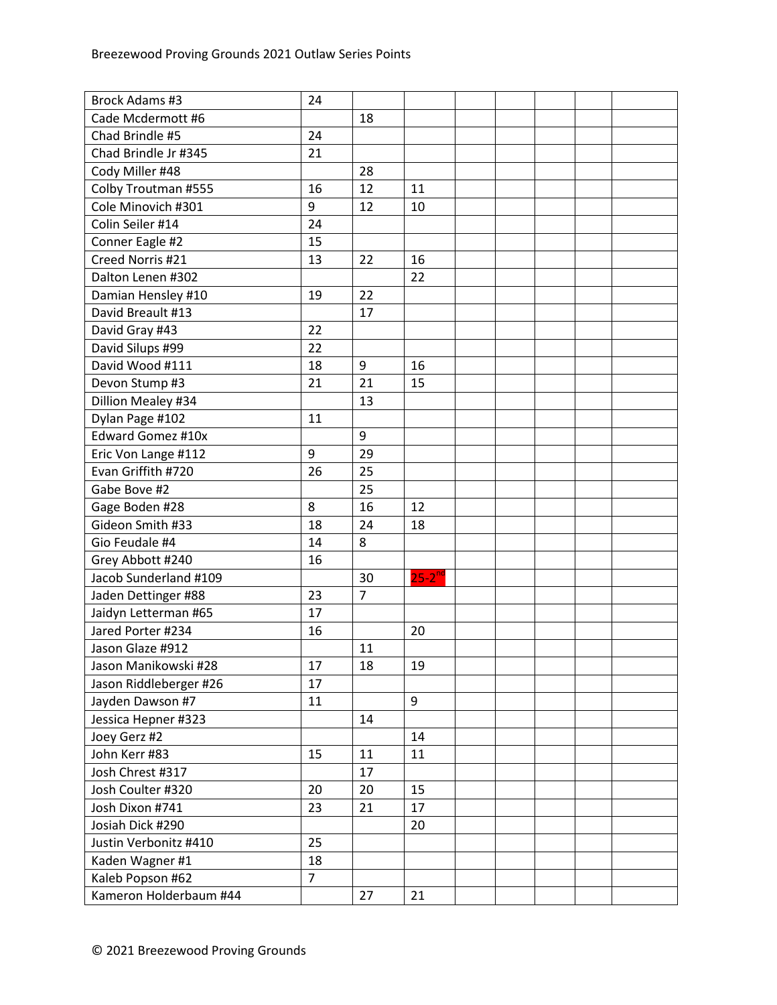| Brock Adams #3         | 24             |                |                      |  |  |  |
|------------------------|----------------|----------------|----------------------|--|--|--|
| Cade Mcdermott #6      |                | 18             |                      |  |  |  |
| Chad Brindle #5        | 24             |                |                      |  |  |  |
| Chad Brindle Jr #345   | 21             |                |                      |  |  |  |
| Cody Miller #48        |                | 28             |                      |  |  |  |
| Colby Troutman #555    | 16             | 12             | 11                   |  |  |  |
| Cole Minovich #301     | 9              | 12             | 10                   |  |  |  |
| Colin Seiler #14       | 24             |                |                      |  |  |  |
| Conner Eagle #2        | 15             |                |                      |  |  |  |
| Creed Norris #21       | 13             | 22             | 16                   |  |  |  |
| Dalton Lenen #302      |                |                | 22                   |  |  |  |
| Damian Hensley #10     | 19             | 22             |                      |  |  |  |
| David Breault #13      |                | 17             |                      |  |  |  |
| David Gray #43         | 22             |                |                      |  |  |  |
| David Silups #99       | 22             |                |                      |  |  |  |
| David Wood #111        | 18             | 9              | 16                   |  |  |  |
| Devon Stump #3         | 21             | 21             | 15                   |  |  |  |
| Dillion Mealey #34     |                | 13             |                      |  |  |  |
| Dylan Page #102        | 11             |                |                      |  |  |  |
| Edward Gomez #10x      |                | 9              |                      |  |  |  |
| Eric Von Lange #112    | 9              | 29             |                      |  |  |  |
| Evan Griffith #720     | 26             | 25             |                      |  |  |  |
| Gabe Bove #2           |                | 25             |                      |  |  |  |
| Gage Boden #28         | 8              | 16             | 12                   |  |  |  |
| Gideon Smith #33       | 18             | 24             | 18                   |  |  |  |
| Gio Feudale #4         | 14             | 8              |                      |  |  |  |
| Grey Abbott #240       | 16             |                |                      |  |  |  |
| Jacob Sunderland #109  |                | 30             | $25-2$ <sup>nd</sup> |  |  |  |
| Jaden Dettinger #88    | 23             | $\overline{7}$ |                      |  |  |  |
| Jaidyn Letterman #65   | 17             |                |                      |  |  |  |
| Jared Porter #234      | 16             |                | 20                   |  |  |  |
| Jason Glaze #912       |                | 11             |                      |  |  |  |
| Jason Manikowski #28   | 17             | 18             | 19                   |  |  |  |
| Jason Riddleberger #26 | 17             |                |                      |  |  |  |
| Jayden Dawson #7       | 11             |                | 9                    |  |  |  |
| Jessica Hepner #323    |                | 14             |                      |  |  |  |
| Joey Gerz #2           |                |                | 14                   |  |  |  |
| John Kerr #83          | 15             | 11             | 11                   |  |  |  |
| Josh Chrest #317       |                | 17             |                      |  |  |  |
| Josh Coulter #320      | 20             | 20             | 15                   |  |  |  |
| Josh Dixon #741        | 23             | 21             | 17                   |  |  |  |
| Josiah Dick #290       |                |                | 20                   |  |  |  |
| Justin Verbonitz #410  | 25             |                |                      |  |  |  |
| Kaden Wagner #1        | 18             |                |                      |  |  |  |
| Kaleb Popson #62       | $\overline{7}$ |                |                      |  |  |  |
| Kameron Holderbaum #44 |                | 27             | 21                   |  |  |  |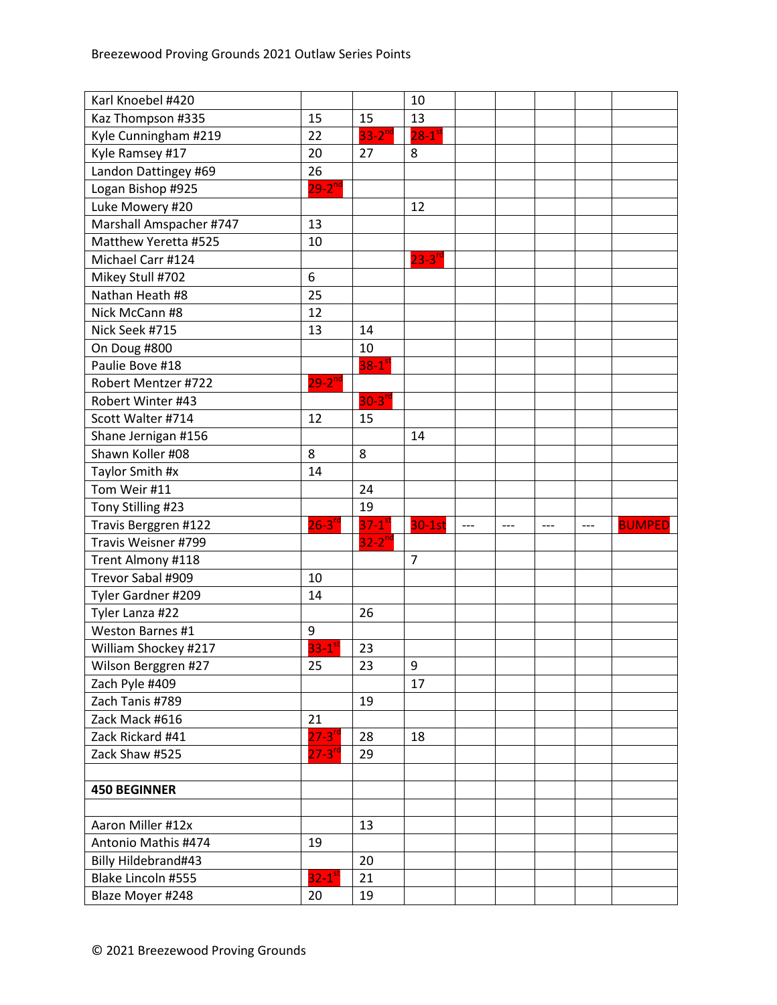| Karl Knoebel #420                      |                            |                      | 10                   |     |       |       |       |               |
|----------------------------------------|----------------------------|----------------------|----------------------|-----|-------|-------|-------|---------------|
| Kaz Thompson #335                      | 15                         | 15                   | 13                   |     |       |       |       |               |
| Kyle Cunningham #219                   | 22                         | $33-2$ <sup>nd</sup> | $28-1$ <sup>st</sup> |     |       |       |       |               |
| Kyle Ramsey #17                        | 20                         | 27                   | 8                    |     |       |       |       |               |
| Landon Dattingey #69                   | 26                         |                      |                      |     |       |       |       |               |
| Logan Bishop #925                      | $29 - 2^{nd}$              |                      |                      |     |       |       |       |               |
| Luke Mowery #20                        |                            |                      | 12                   |     |       |       |       |               |
| Marshall Amspacher #747                | 13                         |                      |                      |     |       |       |       |               |
| Matthew Yeretta #525                   | 10                         |                      |                      |     |       |       |       |               |
| Michael Carr #124                      |                            |                      | $23-3$ <sup>rd</sup> |     |       |       |       |               |
| Mikey Stull #702                       | 6                          |                      |                      |     |       |       |       |               |
| Nathan Heath #8                        | 25                         |                      |                      |     |       |       |       |               |
| Nick McCann #8                         | 12                         |                      |                      |     |       |       |       |               |
| Nick Seek #715                         | 13                         | 14                   |                      |     |       |       |       |               |
| On Doug #800                           |                            | 10                   |                      |     |       |       |       |               |
| Paulie Bove #18                        |                            | $38-1^\circ$         |                      |     |       |       |       |               |
| Robert Mentzer #722                    | $29 - 2^{nd}$              |                      |                      |     |       |       |       |               |
| Robert Winter #43                      |                            | $30-3$ <sup>rd</sup> |                      |     |       |       |       |               |
| Scott Walter #714                      | 12                         | 15                   |                      |     |       |       |       |               |
| Shane Jernigan #156                    |                            |                      | 14                   |     |       |       |       |               |
| Shawn Koller #08                       | 8                          | 8                    |                      |     |       |       |       |               |
| Taylor Smith #x                        | 14                         |                      |                      |     |       |       |       |               |
| Tom Weir #11                           |                            | 24                   |                      |     |       |       |       |               |
|                                        |                            |                      |                      |     |       |       |       |               |
| Tony Stilling #23                      |                            | 19                   |                      |     |       |       |       |               |
| Travis Berggren #122                   | $26 - 3^{rd}$              | $37-1$ <sup>st</sup> | $30-1st$             | --- | $---$ | $---$ | $---$ | <b>BUMPED</b> |
| Travis Weisner #799                    |                            | $32-2^{nd}$          |                      |     |       |       |       |               |
| Trent Almony #118                      |                            |                      | $\overline{7}$       |     |       |       |       |               |
| Trevor Sabal #909                      | 10                         |                      |                      |     |       |       |       |               |
| Tyler Gardner #209                     | 14                         |                      |                      |     |       |       |       |               |
| Tyler Lanza #22                        |                            | 26                   |                      |     |       |       |       |               |
| Weston Barnes #1                       | 9                          |                      |                      |     |       |       |       |               |
| William Shockey #217                   | $33-1$ <sup>st</sup>       | 23                   |                      |     |       |       |       |               |
| Wilson Berggren #27                    | 25                         | 23                   | 9                    |     |       |       |       |               |
| Zach Pyle #409                         |                            |                      | 17                   |     |       |       |       |               |
| Zach Tanis #789                        |                            | 19                   |                      |     |       |       |       |               |
| Zack Mack #616                         | 21                         |                      |                      |     |       |       |       |               |
| Zack Rickard #41                       | $27 - 3^{r c}$             | 28                   | 18                   |     |       |       |       |               |
| Zack Shaw #525                         | $27 - 3^{rd}$              | 29                   |                      |     |       |       |       |               |
|                                        |                            |                      |                      |     |       |       |       |               |
| <b>450 BEGINNER</b>                    |                            |                      |                      |     |       |       |       |               |
|                                        |                            |                      |                      |     |       |       |       |               |
| Aaron Miller #12x                      |                            | 13                   |                      |     |       |       |       |               |
| Antonio Mathis #474                    | 19                         |                      |                      |     |       |       |       |               |
| Billy Hildebrand#43                    |                            | 20                   |                      |     |       |       |       |               |
| Blake Lincoln #555<br>Blaze Moyer #248 | $32-1$ <sup>st</sup><br>20 | 21<br>19             |                      |     |       |       |       |               |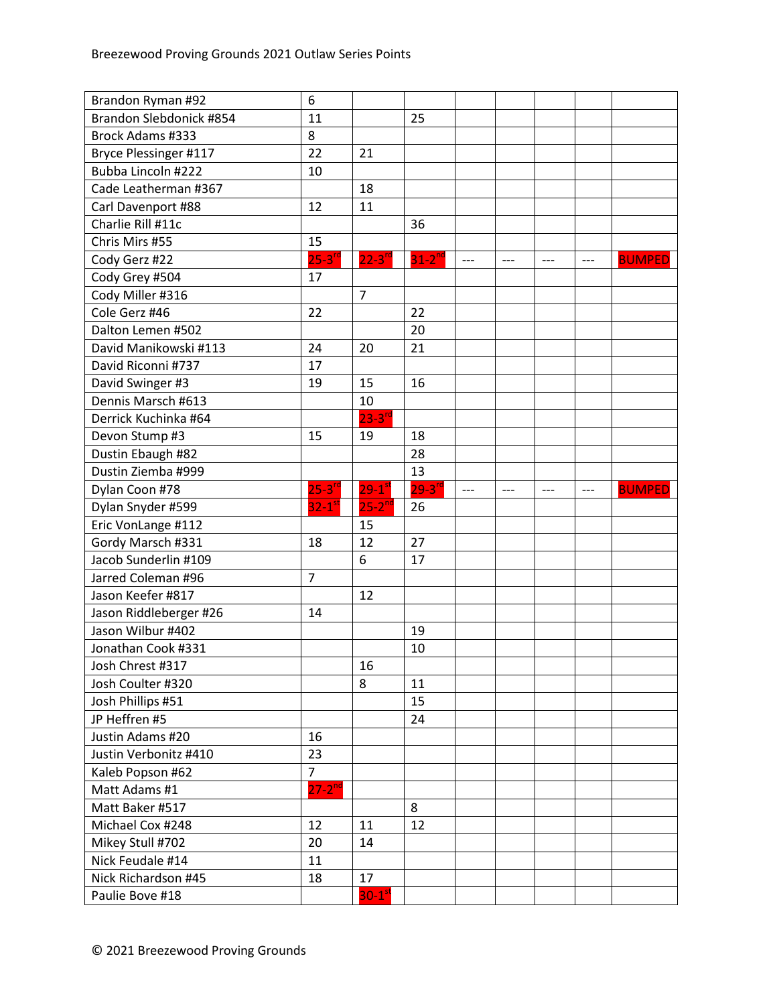| Brandon Ryman #92                      | 6                    |                            |               |       |       |       |       |               |
|----------------------------------------|----------------------|----------------------------|---------------|-------|-------|-------|-------|---------------|
| Brandon Slebdonick #854                | 11                   |                            | 25            |       |       |       |       |               |
| Brock Adams #333                       | 8                    |                            |               |       |       |       |       |               |
| Bryce Plessinger #117                  | 22                   | 21                         |               |       |       |       |       |               |
| Bubba Lincoln #222                     | 10                   |                            |               |       |       |       |       |               |
| Cade Leatherman #367                   |                      | 18                         |               |       |       |       |       |               |
| Carl Davenport #88                     | 12                   | 11                         |               |       |       |       |       |               |
| Charlie Rill #11c                      |                      |                            | 36            |       |       |       |       |               |
| Chris Mirs #55                         | 15                   |                            |               |       |       |       |       |               |
| Cody Gerz #22                          | $25-3$ <sup>rd</sup> | $22 - 3$ <sup>rd</sup>     | $31 - 2^{nc}$ | $---$ | $---$ | $---$ | $---$ | <b>BUMPED</b> |
| Cody Grey #504                         | 17                   |                            |               |       |       |       |       |               |
| Cody Miller #316                       |                      | $\overline{7}$             |               |       |       |       |       |               |
| Cole Gerz #46                          | 22                   |                            | 22            |       |       |       |       |               |
| Dalton Lemen #502                      |                      |                            | 20            |       |       |       |       |               |
| David Manikowski #113                  | 24                   | 20                         | 21            |       |       |       |       |               |
| David Riconni #737                     | 17                   |                            |               |       |       |       |       |               |
| David Swinger #3                       | 19                   | 15                         | 16            |       |       |       |       |               |
| Dennis Marsch #613                     |                      | 10                         |               |       |       |       |       |               |
| Derrick Kuchinka #64                   |                      | $23 - 3^{rd}$              |               |       |       |       |       |               |
| Devon Stump #3                         | 15                   | 19                         | 18            |       |       |       |       |               |
| Dustin Ebaugh #82                      |                      |                            | 28            |       |       |       |       |               |
| Dustin Ziemba #999                     |                      |                            | 13            |       |       |       |       |               |
| Dylan Coon #78                         | $25-3$ <sup>rd</sup> | $29 - 1$ <sup>st</sup>     | $29 - 3^{rd}$ | $---$ | $---$ | ---   | $---$ | <b>BUMPED</b> |
|                                        |                      |                            |               |       |       |       |       |               |
| Dylan Snyder #599                      | $32-1$ <sup>st</sup> | $25 - 2^{nd}$              | 26            |       |       |       |       |               |
| Eric VonLange #112                     |                      | 15                         |               |       |       |       |       |               |
| Gordy Marsch #331                      | 18                   | 12                         | 27            |       |       |       |       |               |
| Jacob Sunderlin #109                   |                      | 6                          | 17            |       |       |       |       |               |
| Jarred Coleman #96                     | $\overline{7}$       |                            |               |       |       |       |       |               |
| Jason Keefer #817                      |                      | 12                         |               |       |       |       |       |               |
| Jason Riddleberger #26                 | 14                   |                            |               |       |       |       |       |               |
| Jason Wilbur #402                      |                      |                            | 19            |       |       |       |       |               |
| Jonathan Cook #331                     |                      |                            | 10            |       |       |       |       |               |
| Josh Chrest #317                       |                      | 16                         |               |       |       |       |       |               |
| Josh Coulter #320                      |                      | 8                          | 11            |       |       |       |       |               |
| Josh Phillips #51                      |                      |                            | 15            |       |       |       |       |               |
| JP Heffren #5                          |                      |                            | 24            |       |       |       |       |               |
| Justin Adams #20                       | 16                   |                            |               |       |       |       |       |               |
| Justin Verbonitz #410                  | 23                   |                            |               |       |       |       |       |               |
| Kaleb Popson #62                       | $\overline{7}$       |                            |               |       |       |       |       |               |
| Matt Adams #1                          | $27-2^{nd}$          |                            |               |       |       |       |       |               |
| Matt Baker #517                        |                      |                            | 8             |       |       |       |       |               |
| Michael Cox #248                       | 12                   | 11                         | 12            |       |       |       |       |               |
| Mikey Stull #702                       | 20                   | 14                         |               |       |       |       |       |               |
| Nick Feudale #14                       | 11                   |                            |               |       |       |       |       |               |
| Nick Richardson #45<br>Paulie Bove #18 | 18                   | 17<br>$30-1$ <sup>st</sup> |               |       |       |       |       |               |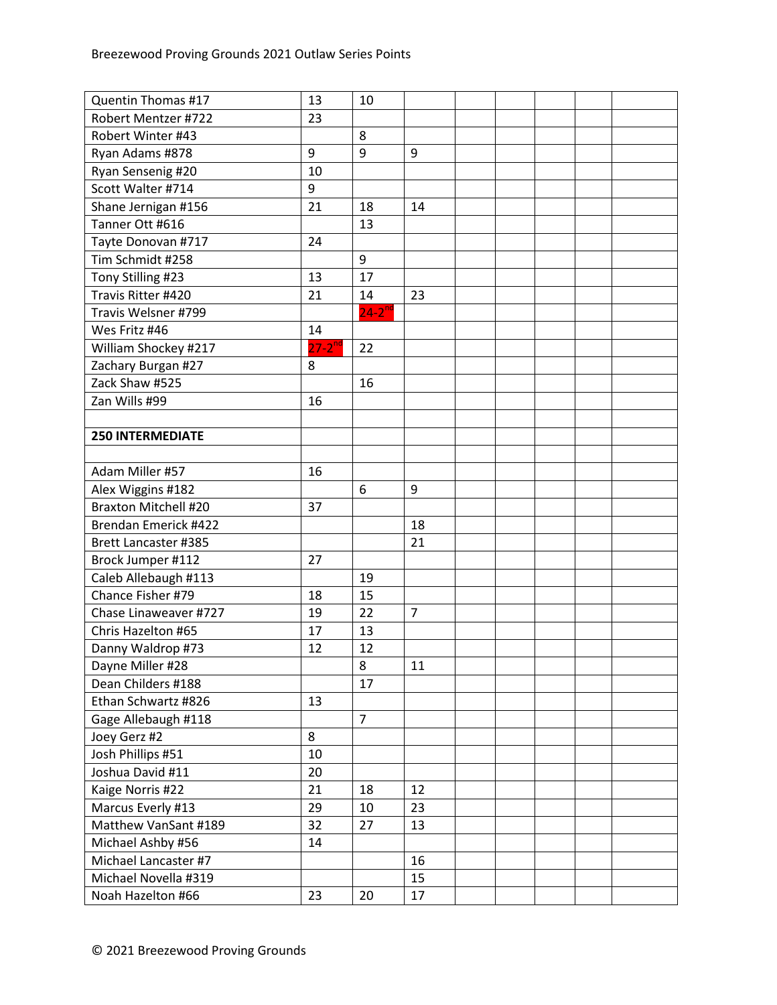| Quentin Thomas #17          | 13            | 10             |                |  |  |  |
|-----------------------------|---------------|----------------|----------------|--|--|--|
| Robert Mentzer #722         | 23            |                |                |  |  |  |
| Robert Winter #43           |               | 8              |                |  |  |  |
| Ryan Adams #878             | 9             | 9              | 9              |  |  |  |
| Ryan Sensenig #20           | 10            |                |                |  |  |  |
| Scott Walter #714           | 9             |                |                |  |  |  |
| Shane Jernigan #156         | 21            | 18             | 14             |  |  |  |
| Tanner Ott #616             |               | 13             |                |  |  |  |
| Tayte Donovan #717          | 24            |                |                |  |  |  |
| Tim Schmidt #258            |               | 9              |                |  |  |  |
| Tony Stilling #23           | 13            | 17             |                |  |  |  |
| Travis Ritter #420          | 21            | 14             | 23             |  |  |  |
| Travis Welsner #799         |               | $24-2^{nd}$    |                |  |  |  |
| Wes Fritz #46               | 14            |                |                |  |  |  |
| William Shockey #217        | $27 - 2^{nd}$ | 22             |                |  |  |  |
| Zachary Burgan #27          | 8             |                |                |  |  |  |
| Zack Shaw #525              |               | 16             |                |  |  |  |
| Zan Wills #99               | 16            |                |                |  |  |  |
|                             |               |                |                |  |  |  |
| <b>250 INTERMEDIATE</b>     |               |                |                |  |  |  |
|                             |               |                |                |  |  |  |
| Adam Miller #57             | 16            |                |                |  |  |  |
| Alex Wiggins #182           |               | 6              | 9              |  |  |  |
| <b>Braxton Mitchell #20</b> | 37            |                |                |  |  |  |
| Brendan Emerick #422        |               |                | 18             |  |  |  |
| <b>Brett Lancaster #385</b> |               |                | 21             |  |  |  |
| Brock Jumper #112           | 27            |                |                |  |  |  |
| Caleb Allebaugh #113        |               | 19             |                |  |  |  |
| Chance Fisher #79           | 18            | 15             |                |  |  |  |
| Chase Linaweaver #727       | 19            | 22             | $\overline{7}$ |  |  |  |
| Chris Hazelton #65          | 17            | 13             |                |  |  |  |
| Danny Waldrop #73           | 12            | 12             |                |  |  |  |
| Dayne Miller #28            |               | 8              | 11             |  |  |  |
| Dean Childers #188          |               | 17             |                |  |  |  |
| Ethan Schwartz #826         | 13            |                |                |  |  |  |
| Gage Allebaugh #118         |               | $\overline{7}$ |                |  |  |  |
| Joey Gerz #2                | 8             |                |                |  |  |  |
| Josh Phillips #51           | 10            |                |                |  |  |  |
| Joshua David #11            | 20            |                |                |  |  |  |
| Kaige Norris #22            | 21            | 18             | 12             |  |  |  |
| Marcus Everly #13           | 29            | 10             | 23             |  |  |  |
| Matthew VanSant #189        | 32            | 27             | 13             |  |  |  |
| Michael Ashby #56           | 14            |                |                |  |  |  |
| Michael Lancaster #7        |               |                | 16             |  |  |  |
| Michael Novella #319        |               |                | 15             |  |  |  |
| Noah Hazelton #66           | 23            | 20             | 17             |  |  |  |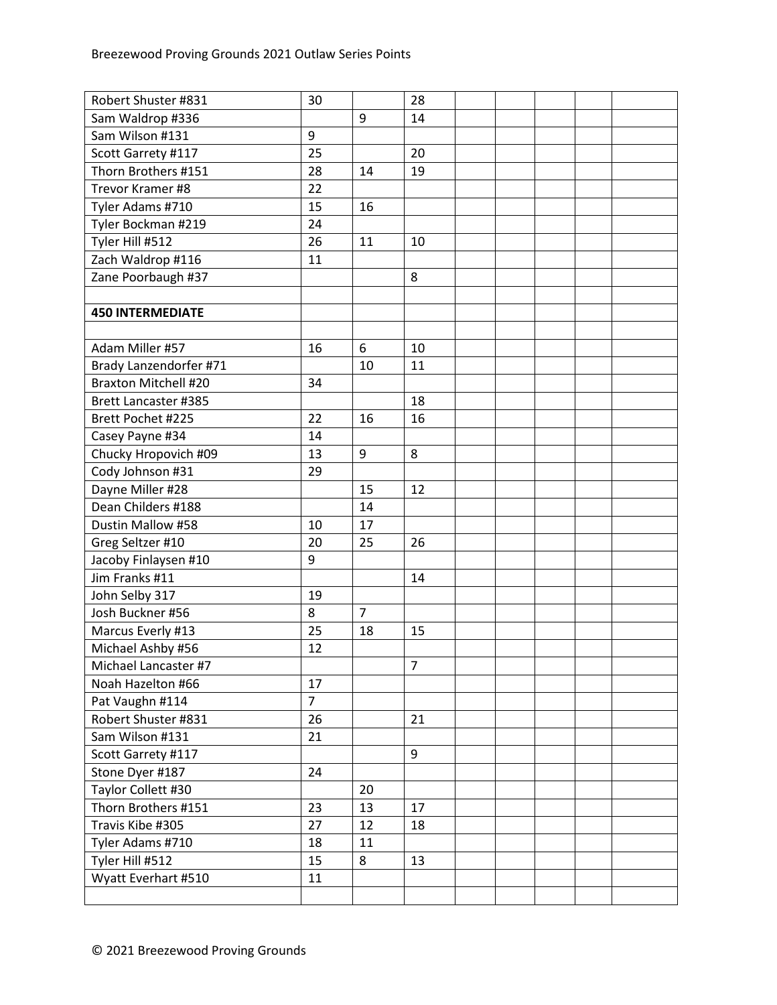| Robert Shuster #831         | 30             |                | 28 |  |  |  |
|-----------------------------|----------------|----------------|----|--|--|--|
| Sam Waldrop #336            |                | 9              | 14 |  |  |  |
| Sam Wilson #131             | 9              |                |    |  |  |  |
| Scott Garrety #117          | 25             |                | 20 |  |  |  |
| Thorn Brothers #151         | 28             | 14             | 19 |  |  |  |
| Trevor Kramer #8            | 22             |                |    |  |  |  |
| Tyler Adams #710            | 15             | 16             |    |  |  |  |
| Tyler Bockman #219          | 24             |                |    |  |  |  |
| Tyler Hill #512             | 26             | 11             | 10 |  |  |  |
| Zach Waldrop #116           | 11             |                |    |  |  |  |
| Zane Poorbaugh #37          |                |                | 8  |  |  |  |
|                             |                |                |    |  |  |  |
| <b>450 INTERMEDIATE</b>     |                |                |    |  |  |  |
|                             |                |                |    |  |  |  |
| Adam Miller #57             | 16             | 6              | 10 |  |  |  |
| Brady Lanzendorfer #71      |                | 10             | 11 |  |  |  |
| <b>Braxton Mitchell #20</b> | 34             |                |    |  |  |  |
| <b>Brett Lancaster #385</b> |                |                | 18 |  |  |  |
| Brett Pochet #225           | 22             | 16             | 16 |  |  |  |
| Casey Payne #34             | 14             |                |    |  |  |  |
| Chucky Hropovich #09        | 13             | 9              | 8  |  |  |  |
| Cody Johnson #31            | 29             |                |    |  |  |  |
| Dayne Miller #28            |                | 15             | 12 |  |  |  |
| Dean Childers #188          |                | 14             |    |  |  |  |
| Dustin Mallow #58           | 10             | 17             |    |  |  |  |
| Greg Seltzer #10            | 20             | 25             | 26 |  |  |  |
| Jacoby Finlaysen #10        | 9              |                |    |  |  |  |
| Jim Franks #11              |                |                | 14 |  |  |  |
| John Selby 317              | 19             |                |    |  |  |  |
| Josh Buckner #56            | 8              | $\overline{7}$ |    |  |  |  |
| Marcus Everly #13           | 25             | 18             | 15 |  |  |  |
| Michael Ashby #56           | 12             |                |    |  |  |  |
| Michael Lancaster #7        |                |                | 7  |  |  |  |
| Noah Hazelton #66           | 17             |                |    |  |  |  |
| Pat Vaughn #114             | $\overline{7}$ |                |    |  |  |  |
| Robert Shuster #831         | 26             |                | 21 |  |  |  |
| Sam Wilson #131             | 21             |                |    |  |  |  |
| Scott Garrety #117          |                |                | 9  |  |  |  |
| Stone Dyer #187             | 24             |                |    |  |  |  |
| Taylor Collett #30          |                | 20             |    |  |  |  |
| Thorn Brothers #151         | 23             | 13             | 17 |  |  |  |
| Travis Kibe #305            | 27             | 12             | 18 |  |  |  |
| Tyler Adams #710            | 18             | 11             |    |  |  |  |
| Tyler Hill #512             | 15             | 8              | 13 |  |  |  |
| Wyatt Everhart #510         | 11             |                |    |  |  |  |
|                             |                |                |    |  |  |  |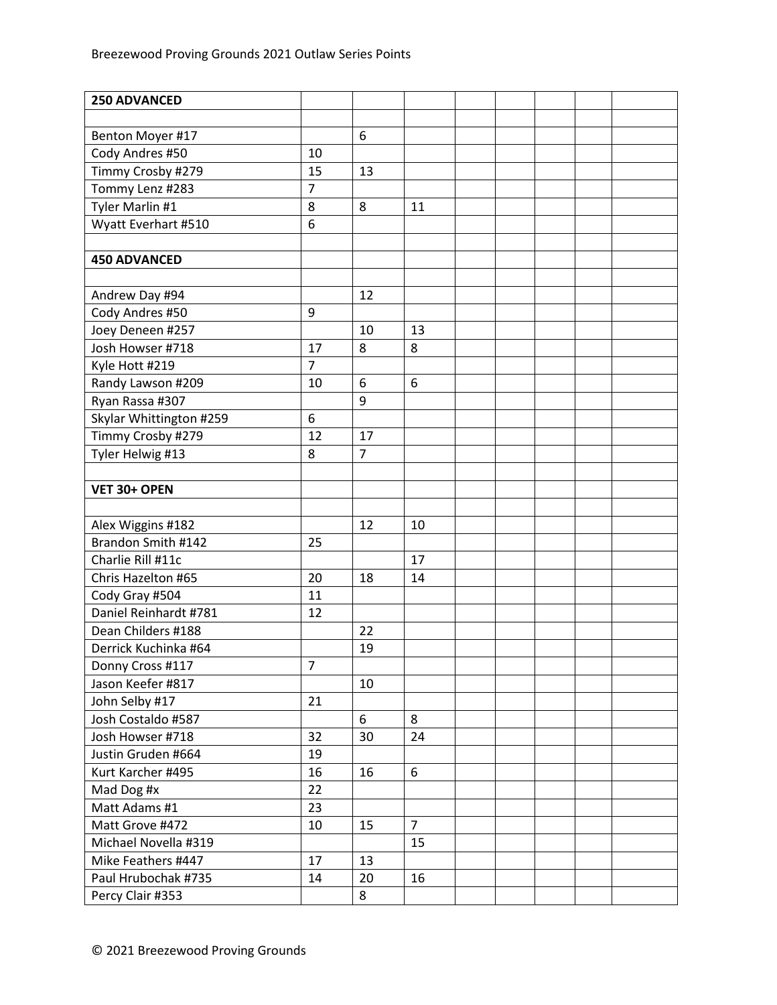| <b>250 ADVANCED</b>     |                |                |                |  |  |  |
|-------------------------|----------------|----------------|----------------|--|--|--|
|                         |                |                |                |  |  |  |
| Benton Moyer #17        |                | 6              |                |  |  |  |
| Cody Andres #50         | 10             |                |                |  |  |  |
| Timmy Crosby #279       | 15             | 13             |                |  |  |  |
| Tommy Lenz #283         | $\overline{7}$ |                |                |  |  |  |
| Tyler Marlin #1         | 8              | 8              | 11             |  |  |  |
| Wyatt Everhart #510     | 6              |                |                |  |  |  |
|                         |                |                |                |  |  |  |
| <b>450 ADVANCED</b>     |                |                |                |  |  |  |
|                         |                |                |                |  |  |  |
| Andrew Day #94          |                | 12             |                |  |  |  |
| Cody Andres #50         | 9              |                |                |  |  |  |
| Joey Deneen #257        |                | 10             | 13             |  |  |  |
| Josh Howser #718        | 17             | 8              | 8              |  |  |  |
| Kyle Hott #219          | $\overline{7}$ |                |                |  |  |  |
| Randy Lawson #209       | 10             | 6              | 6              |  |  |  |
| Ryan Rassa #307         |                | 9              |                |  |  |  |
| Skylar Whittington #259 | 6              |                |                |  |  |  |
| Timmy Crosby #279       | 12             | 17             |                |  |  |  |
| Tyler Helwig #13        | 8              | $\overline{7}$ |                |  |  |  |
|                         |                |                |                |  |  |  |
| VET 30+ OPEN            |                |                |                |  |  |  |
|                         |                |                |                |  |  |  |
| Alex Wiggins #182       |                | 12             | 10             |  |  |  |
| Brandon Smith #142      | 25             |                |                |  |  |  |
| Charlie Rill #11c       |                |                | 17             |  |  |  |
| Chris Hazelton #65      | 20             | 18             | 14             |  |  |  |
| Cody Gray #504          | 11             |                |                |  |  |  |
| Daniel Reinhardt #781   | 12             |                |                |  |  |  |
| Dean Childers #188      |                | 22             |                |  |  |  |
| Derrick Kuchinka #64    |                | 19             |                |  |  |  |
| Donny Cross #117        | 7              |                |                |  |  |  |
| Jason Keefer #817       |                | 10             |                |  |  |  |
| John Selby #17          | 21             |                |                |  |  |  |
| Josh Costaldo #587      |                | 6              | 8              |  |  |  |
| Josh Howser #718        | 32             | 30             | 24             |  |  |  |
| Justin Gruden #664      | 19             |                |                |  |  |  |
| Kurt Karcher #495       | 16             | 16             | 6              |  |  |  |
| Mad Dog #x              | 22             |                |                |  |  |  |
| Matt Adams #1           | 23             |                |                |  |  |  |
| Matt Grove #472         | 10             | 15             | $\overline{7}$ |  |  |  |
| Michael Novella #319    |                |                | 15             |  |  |  |
| Mike Feathers #447      | 17             | 13             |                |  |  |  |
| Paul Hrubochak #735     | 14             | 20             | 16             |  |  |  |
| Percy Clair #353        |                | 8              |                |  |  |  |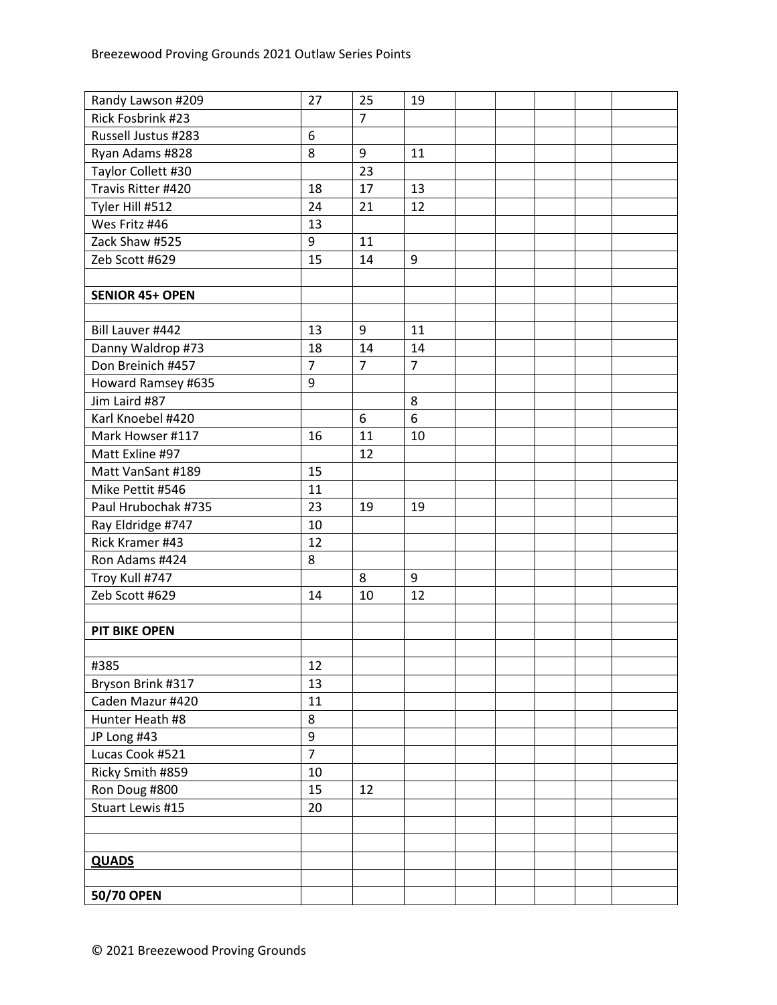| Randy Lawson #209      | 27             | 25               | 19             |  |  |  |
|------------------------|----------------|------------------|----------------|--|--|--|
| Rick Fosbrink #23      |                | $\overline{7}$   |                |  |  |  |
| Russell Justus #283    | 6              |                  |                |  |  |  |
| Ryan Adams #828        | 8              | 9                | 11             |  |  |  |
| Taylor Collett #30     |                | 23               |                |  |  |  |
| Travis Ritter #420     | 18             | 17               | 13             |  |  |  |
| Tyler Hill #512        | 24             | 21               | 12             |  |  |  |
| Wes Fritz #46          | 13             |                  |                |  |  |  |
| Zack Shaw #525         | 9              | 11               |                |  |  |  |
| Zeb Scott #629         | 15             | 14               | 9              |  |  |  |
|                        |                |                  |                |  |  |  |
| <b>SENIOR 45+ OPEN</b> |                |                  |                |  |  |  |
|                        |                |                  |                |  |  |  |
| Bill Lauver #442       | 13             | 9                | 11             |  |  |  |
| Danny Waldrop #73      | 18             | 14               | 14             |  |  |  |
| Don Breinich #457      | $\overline{7}$ | $\overline{7}$   | $\overline{7}$ |  |  |  |
| Howard Ramsey #635     | 9              |                  |                |  |  |  |
| Jim Laird #87          |                |                  | 8              |  |  |  |
| Karl Knoebel #420      |                | $\boldsymbol{6}$ | 6              |  |  |  |
| Mark Howser #117       | 16             | 11               | 10             |  |  |  |
| Matt Exline #97        |                | 12               |                |  |  |  |
| Matt VanSant #189      | 15             |                  |                |  |  |  |
| Mike Pettit #546       | 11             |                  |                |  |  |  |
| Paul Hrubochak #735    | 23             | 19               | 19             |  |  |  |
| Ray Eldridge #747      | 10             |                  |                |  |  |  |
| Rick Kramer #43        | 12             |                  |                |  |  |  |
| Ron Adams #424         | 8              |                  |                |  |  |  |
| Troy Kull #747         |                | 8                | 9              |  |  |  |
| Zeb Scott #629         | 14             | 10               | 12             |  |  |  |
|                        |                |                  |                |  |  |  |
| <b>PIT BIKE OPEN</b>   |                |                  |                |  |  |  |
|                        |                |                  |                |  |  |  |
| #385                   | 12             |                  |                |  |  |  |
| Bryson Brink #317      | 13             |                  |                |  |  |  |
| Caden Mazur #420       | 11             |                  |                |  |  |  |
| Hunter Heath #8        | 8              |                  |                |  |  |  |
| JP Long #43            | 9              |                  |                |  |  |  |
| Lucas Cook #521        | $\overline{7}$ |                  |                |  |  |  |
| Ricky Smith #859       | 10             |                  |                |  |  |  |
| Ron Doug #800          | 15             | 12               |                |  |  |  |
| Stuart Lewis #15       | 20             |                  |                |  |  |  |
|                        |                |                  |                |  |  |  |
|                        |                |                  |                |  |  |  |
| <b>QUADS</b>           |                |                  |                |  |  |  |
|                        |                |                  |                |  |  |  |
| 50/70 OPEN             |                |                  |                |  |  |  |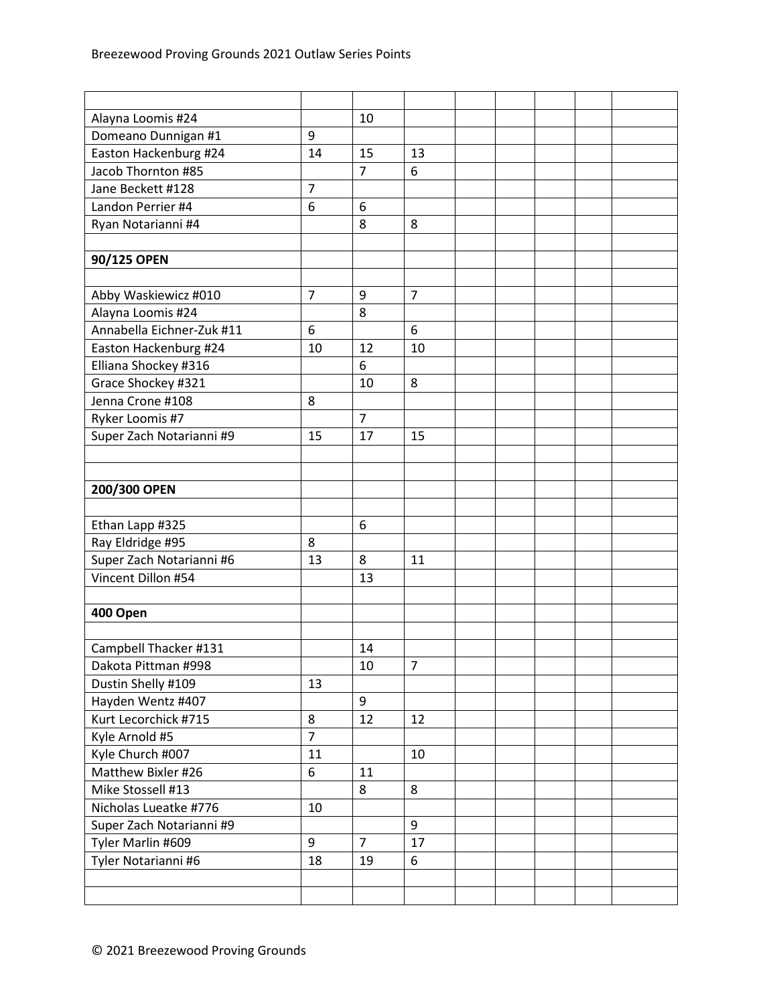| Alayna Loomis #24         |                | 10             |                |  |  |  |
|---------------------------|----------------|----------------|----------------|--|--|--|
| Domeano Dunnigan #1       | 9              |                |                |  |  |  |
| Easton Hackenburg #24     | 14             | 15             | 13             |  |  |  |
| Jacob Thornton #85        |                | $\overline{7}$ | 6              |  |  |  |
| Jane Beckett #128         | $\overline{7}$ |                |                |  |  |  |
| Landon Perrier #4         | 6              | 6              |                |  |  |  |
| Ryan Notarianni #4        |                | 8              | 8              |  |  |  |
|                           |                |                |                |  |  |  |
| 90/125 OPEN               |                |                |                |  |  |  |
|                           |                |                |                |  |  |  |
| Abby Waskiewicz #010      | $\overline{7}$ | 9              | $\overline{7}$ |  |  |  |
| Alayna Loomis #24         |                | 8              |                |  |  |  |
| Annabella Eichner-Zuk #11 | 6              |                | 6              |  |  |  |
| Easton Hackenburg #24     | 10             | 12             | 10             |  |  |  |
| Elliana Shockey #316      |                | 6              |                |  |  |  |
| Grace Shockey #321        |                | 10             | 8              |  |  |  |
| Jenna Crone #108          | 8              |                |                |  |  |  |
| Ryker Loomis #7           |                | $\overline{7}$ |                |  |  |  |
| Super Zach Notarianni #9  | 15             | 17             | 15             |  |  |  |
|                           |                |                |                |  |  |  |
|                           |                |                |                |  |  |  |
| 200/300 OPEN              |                |                |                |  |  |  |
|                           |                |                |                |  |  |  |
| Ethan Lapp #325           |                | 6              |                |  |  |  |
| Ray Eldridge #95          | 8              |                |                |  |  |  |
| Super Zach Notarianni #6  | 13             | 8              | 11             |  |  |  |
| Vincent Dillon #54        |                | 13             |                |  |  |  |
|                           |                |                |                |  |  |  |
| 400 Open                  |                |                |                |  |  |  |
|                           |                |                |                |  |  |  |
| Campbell Thacker #131     |                | 14             |                |  |  |  |
| Dakota Pittman #998       |                | 10             | $\overline{7}$ |  |  |  |
| Dustin Shelly #109        | 13             |                |                |  |  |  |
| Hayden Wentz #407         |                | 9              |                |  |  |  |
| Kurt Lecorchick #715      | 8              | 12             | 12             |  |  |  |
| Kyle Arnold #5            | $\overline{7}$ |                |                |  |  |  |
| Kyle Church #007          | 11             |                | 10             |  |  |  |
| Matthew Bixler #26        | 6              | 11             |                |  |  |  |
| Mike Stossell #13         |                | 8              | 8              |  |  |  |
| Nicholas Lueatke #776     | 10             |                |                |  |  |  |
| Super Zach Notarianni #9  |                |                | 9              |  |  |  |
| Tyler Marlin #609         | 9              | $\overline{7}$ | 17             |  |  |  |
| Tyler Notarianni #6       | 18             | 19             | 6              |  |  |  |
|                           |                |                |                |  |  |  |
|                           |                |                |                |  |  |  |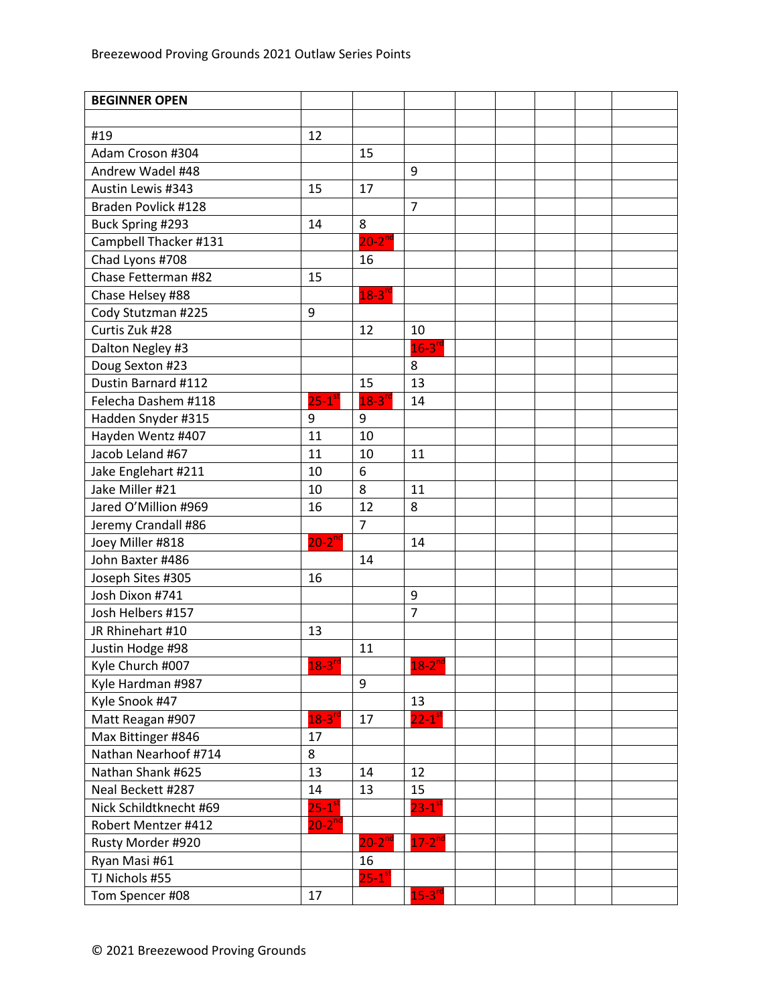| <b>BEGINNER OPEN</b>   |                        |                      |                      |  |  |  |
|------------------------|------------------------|----------------------|----------------------|--|--|--|
|                        |                        |                      |                      |  |  |  |
| #19                    | 12                     |                      |                      |  |  |  |
| Adam Croson #304       |                        | 15                   |                      |  |  |  |
| Andrew Wadel #48       |                        |                      | 9                    |  |  |  |
| Austin Lewis #343      | 15                     | 17                   |                      |  |  |  |
| Braden Povlick #128    |                        |                      | $\overline{7}$       |  |  |  |
| Buck Spring #293       | 14                     | 8                    |                      |  |  |  |
| Campbell Thacker #131  |                        | $20-2^{nd}$          |                      |  |  |  |
| Chad Lyons #708        |                        | 16                   |                      |  |  |  |
| Chase Fetterman #82    | 15                     |                      |                      |  |  |  |
| Chase Helsey #88       |                        | $18-3^{rd}$          |                      |  |  |  |
| Cody Stutzman #225     | 9                      |                      |                      |  |  |  |
| Curtis Zuk #28         |                        | 12                   | 10                   |  |  |  |
| Dalton Negley #3       |                        |                      | $16-3$ <sup>rd</sup> |  |  |  |
| Doug Sexton #23        |                        |                      | 8                    |  |  |  |
| Dustin Barnard #112    |                        | 15                   | 13                   |  |  |  |
| Felecha Dashem #118    | $25-1$ <sup>st</sup>   | $18-3$ <sup>rd</sup> | 14                   |  |  |  |
| Hadden Snyder #315     | 9                      | 9                    |                      |  |  |  |
| Hayden Wentz #407      | 11                     | 10                   |                      |  |  |  |
| Jacob Leland #67       | 11                     | 10                   | 11                   |  |  |  |
| Jake Englehart #211    | 10                     | 6                    |                      |  |  |  |
| Jake Miller #21        | 10                     | 8                    | 11                   |  |  |  |
| Jared O'Million #969   | 16                     | 12                   | 8                    |  |  |  |
| Jeremy Crandall #86    |                        | $\overline{7}$       |                      |  |  |  |
| Joey Miller #818       | $20-2^{nd}$            |                      | 14                   |  |  |  |
| John Baxter #486       |                        | 14                   |                      |  |  |  |
| Joseph Sites #305      | 16                     |                      |                      |  |  |  |
| Josh Dixon #741        |                        |                      | 9                    |  |  |  |
| Josh Helbers #157      |                        |                      | $\overline{7}$       |  |  |  |
| JR Rhinehart #10       | 13                     |                      |                      |  |  |  |
| Justin Hodge #98       |                        | 11                   |                      |  |  |  |
| Kyle Church #007       | $18-3rd$               |                      | $18-2^{nd}$          |  |  |  |
| Kyle Hardman #987      |                        | 9                    |                      |  |  |  |
| Kyle Snook #47         |                        |                      | 13                   |  |  |  |
| Matt Reagan #907       | $18-3$ <sup>rd</sup>   | 17                   | $22-1$ <sup>st</sup> |  |  |  |
| Max Bittinger #846     | 17                     |                      |                      |  |  |  |
| Nathan Nearhoof #714   | 8                      |                      |                      |  |  |  |
| Nathan Shank #625      | 13                     | 14                   | 12                   |  |  |  |
| Neal Beckett #287      | 14                     | 13                   | 15                   |  |  |  |
| Nick Schildtknecht #69 | $25 - 1$ <sup>st</sup> |                      | $23 - 1^{51}$        |  |  |  |
| Robert Mentzer #412    | $20-2^{nd}$            |                      |                      |  |  |  |
| Rusty Morder #920      |                        | $20 - 2^{nd}$        | $17 - 2^{nc}$        |  |  |  |
| Ryan Masi #61          |                        | 16                   |                      |  |  |  |
| TJ Nichols #55         |                        | $25-1$ <sup>st</sup> |                      |  |  |  |
| Tom Spencer #08        | 17                     |                      | $15-3$ <sup>rd</sup> |  |  |  |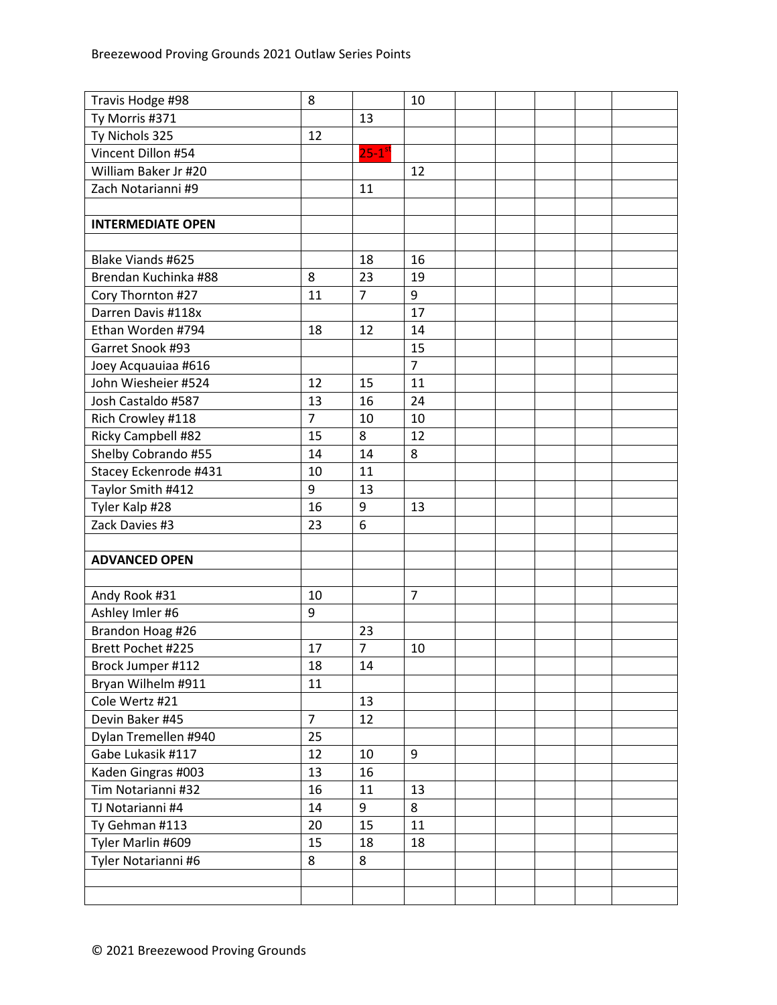| Travis Hodge #98         | 8              |                      | 10             |  |  |  |
|--------------------------|----------------|----------------------|----------------|--|--|--|
| Ty Morris #371           |                | 13                   |                |  |  |  |
| Ty Nichols 325           | 12             |                      |                |  |  |  |
| Vincent Dillon #54       |                | $25-1$ <sup>st</sup> |                |  |  |  |
| William Baker Jr #20     |                |                      | 12             |  |  |  |
| Zach Notarianni #9       |                | 11                   |                |  |  |  |
|                          |                |                      |                |  |  |  |
| <b>INTERMEDIATE OPEN</b> |                |                      |                |  |  |  |
|                          |                |                      |                |  |  |  |
| Blake Viands #625        |                | 18                   | 16             |  |  |  |
| Brendan Kuchinka #88     | 8              | 23                   | 19             |  |  |  |
| Cory Thornton #27        | 11             | $\overline{7}$       | 9              |  |  |  |
| Darren Davis #118x       |                |                      | 17             |  |  |  |
| Ethan Worden #794        | 18             | 12                   | 14             |  |  |  |
| Garret Snook #93         |                |                      | 15             |  |  |  |
| Joey Acquauiaa #616      |                |                      | $\overline{7}$ |  |  |  |
| John Wiesheier #524      | 12             | 15                   | 11             |  |  |  |
| Josh Castaldo #587       | 13             | 16                   | 24             |  |  |  |
| Rich Crowley #118        | $\overline{7}$ | 10                   | 10             |  |  |  |
| Ricky Campbell #82       | 15             | 8                    | 12             |  |  |  |
| Shelby Cobrando #55      | 14             | 14                   | 8              |  |  |  |
| Stacey Eckenrode #431    | 10             | 11                   |                |  |  |  |
| Taylor Smith #412        | 9              | 13                   |                |  |  |  |
| Tyler Kalp #28           | 16             | 9                    | 13             |  |  |  |
| Zack Davies #3           | 23             | 6                    |                |  |  |  |
|                          |                |                      |                |  |  |  |
| <b>ADVANCED OPEN</b>     |                |                      |                |  |  |  |
|                          |                |                      |                |  |  |  |
| Andy Rook #31            | 10             |                      | $\overline{7}$ |  |  |  |
| Ashley Imler #6          | 9              |                      |                |  |  |  |
| Brandon Hoag #26         |                | 23                   |                |  |  |  |
| Brett Pochet #225        | 17             | $\overline{7}$       | 10             |  |  |  |
| Brock Jumper #112        | 18             | 14                   |                |  |  |  |
| Bryan Wilhelm #911       | 11             |                      |                |  |  |  |
| Cole Wertz #21           |                | 13                   |                |  |  |  |
| Devin Baker #45          | $\overline{7}$ | 12                   |                |  |  |  |
| Dylan Tremellen #940     | 25             |                      |                |  |  |  |
| Gabe Lukasik #117        | 12             | 10                   | 9              |  |  |  |
| Kaden Gingras #003       | 13             | 16                   |                |  |  |  |
| Tim Notarianni #32       | 16             | 11                   | 13             |  |  |  |
| TJ Notarianni #4         | 14             | 9                    | 8              |  |  |  |
| Ty Gehman #113           | 20             | 15                   | 11             |  |  |  |
| Tyler Marlin #609        | 15             | 18                   | 18             |  |  |  |
| Tyler Notarianni #6      | 8              | 8                    |                |  |  |  |
|                          |                |                      |                |  |  |  |
|                          |                |                      |                |  |  |  |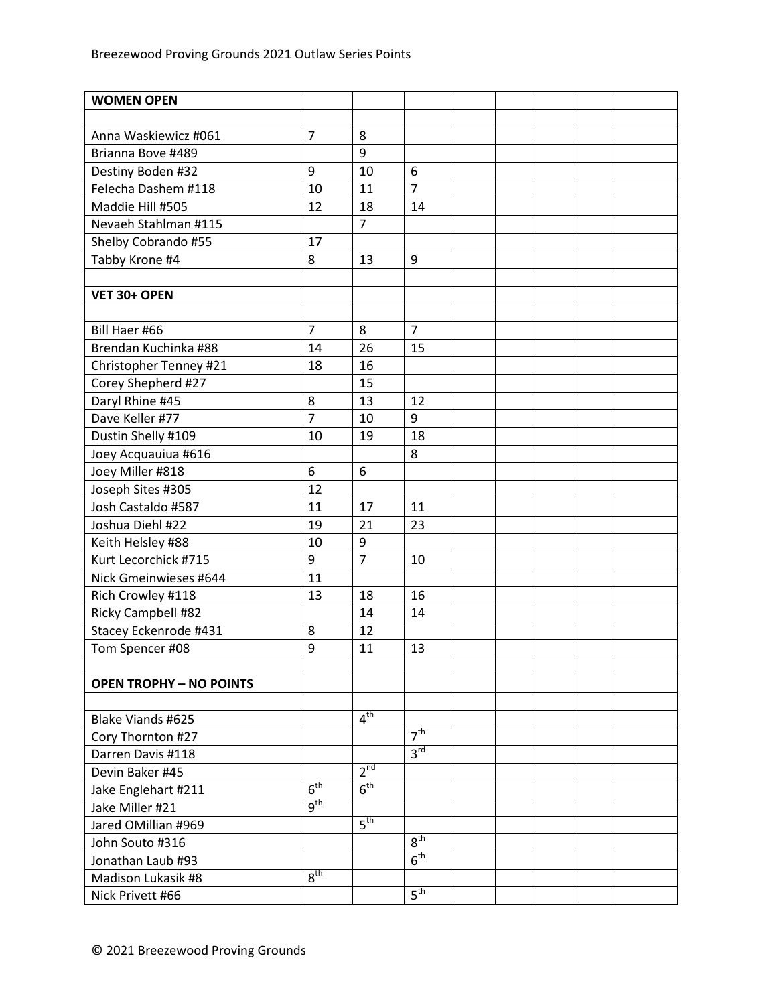| <b>WOMEN OPEN</b>              |                     |                 |                 |  |  |  |
|--------------------------------|---------------------|-----------------|-----------------|--|--|--|
|                                |                     |                 |                 |  |  |  |
| Anna Waskiewicz #061           | $\overline{7}$      | 8               |                 |  |  |  |
| Brianna Bove #489              |                     | 9               |                 |  |  |  |
| Destiny Boden #32              | 9                   | 10              | 6               |  |  |  |
| Felecha Dashem #118            | 10                  | 11              | $\overline{7}$  |  |  |  |
| Maddie Hill #505               | 12                  | 18              | 14              |  |  |  |
| Nevaeh Stahlman #115           |                     | $\overline{7}$  |                 |  |  |  |
| Shelby Cobrando #55            | 17                  |                 |                 |  |  |  |
| Tabby Krone #4                 | 8                   | 13              | 9               |  |  |  |
|                                |                     |                 |                 |  |  |  |
| VET 30+ OPEN                   |                     |                 |                 |  |  |  |
|                                |                     |                 |                 |  |  |  |
| Bill Haer #66                  | $\overline{7}$      | 8               | $\overline{7}$  |  |  |  |
| Brendan Kuchinka #88           | 14                  | 26              | 15              |  |  |  |
| Christopher Tenney #21         | 18                  | 16              |                 |  |  |  |
| Corey Shepherd #27             |                     | 15              |                 |  |  |  |
| Daryl Rhine #45                | 8                   | 13              | 12              |  |  |  |
| Dave Keller #77                | $\overline{7}$      | 10              | 9               |  |  |  |
| Dustin Shelly #109             | 10                  | 19              | 18              |  |  |  |
| Joey Acquauiua #616            |                     |                 | 8               |  |  |  |
| Joey Miller #818               | 6                   | 6               |                 |  |  |  |
| Joseph Sites #305              | 12                  |                 |                 |  |  |  |
| Josh Castaldo #587             | 11                  | 17              | 11              |  |  |  |
| Joshua Diehl #22               | 19                  | 21              | 23              |  |  |  |
| Keith Helsley #88              | 10                  | 9               |                 |  |  |  |
| Kurt Lecorchick #715           | 9                   | $\overline{7}$  | 10              |  |  |  |
| Nick Gmeinwieses #644          | 11                  |                 |                 |  |  |  |
| Rich Crowley #118              | 13                  | 18              | 16              |  |  |  |
| Ricky Campbell #82             |                     | 14              | 14              |  |  |  |
| Stacey Eckenrode #431          | 8                   | 12              |                 |  |  |  |
| Tom Spencer #08                | 9                   | 11              | 13              |  |  |  |
|                                |                     |                 |                 |  |  |  |
| <b>OPEN TROPHY - NO POINTS</b> |                     |                 |                 |  |  |  |
|                                |                     |                 |                 |  |  |  |
| Blake Viands #625              |                     | 4 <sup>th</sup> |                 |  |  |  |
| Cory Thornton #27              |                     |                 | 7 <sup>th</sup> |  |  |  |
| Darren Davis #118              |                     |                 | 3 <sup>rd</sup> |  |  |  |
| Devin Baker #45                |                     | 2 <sup>nd</sup> |                 |  |  |  |
| Jake Englehart #211            | 6 <sup>th</sup>     | 6 <sup>th</sup> |                 |  |  |  |
| Jake Miller #21                | $\overline{g^{th}}$ |                 |                 |  |  |  |
| Jared OMillian #969            |                     | $5^{\text{th}}$ |                 |  |  |  |
| John Souto #316                |                     |                 | 8 <sup>th</sup> |  |  |  |
| Jonathan Laub #93              |                     |                 | 6 <sup>th</sup> |  |  |  |
| Madison Lukasik #8             | 8 <sup>th</sup>     |                 |                 |  |  |  |
| Nick Privett #66               |                     |                 | 5 <sup>th</sup> |  |  |  |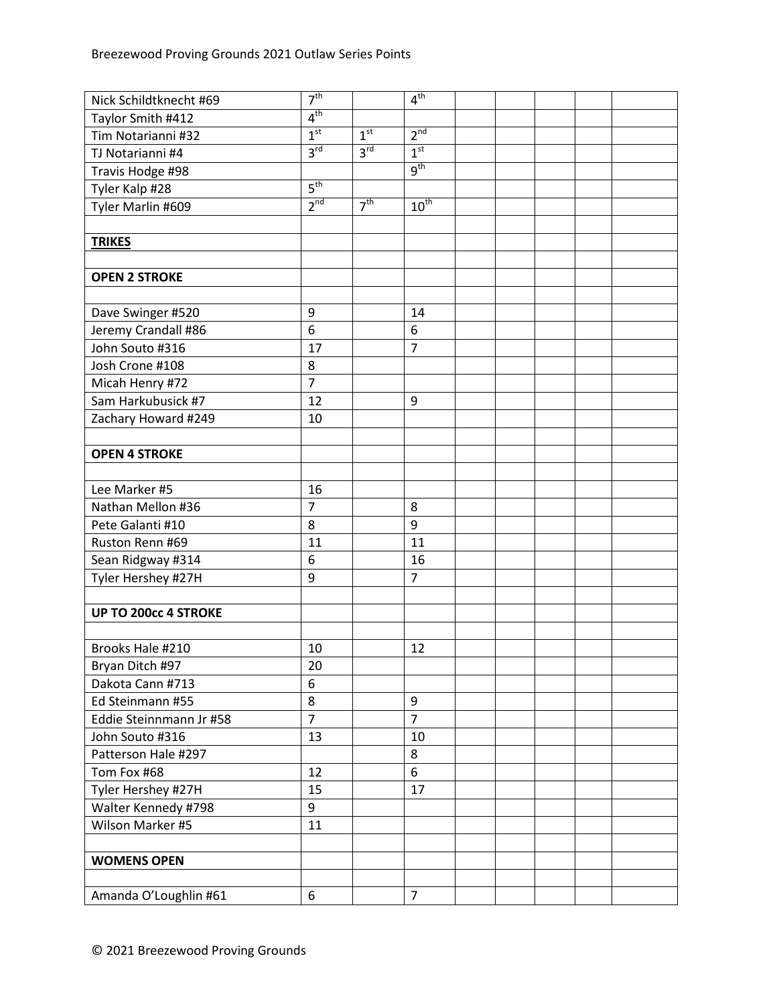| Nick Schildtknecht #69      | 7 <sup>th</sup>  |                 | 4 <sup>th</sup>  |  |  |  |
|-----------------------------|------------------|-----------------|------------------|--|--|--|
| Taylor Smith #412           | 4 <sup>th</sup>  |                 |                  |  |  |  |
| Tim Notarianni #32          | 1 <sup>st</sup>  | 1 <sup>st</sup> | 2 <sup>nd</sup>  |  |  |  |
| TJ Notarianni #4            | 3 <sup>rd</sup>  | 3 <sup>rd</sup> | 1 <sup>st</sup>  |  |  |  |
| Travis Hodge #98            |                  |                 | 9 <sup>th</sup>  |  |  |  |
| Tyler Kalp #28              | 5 <sup>th</sup>  |                 |                  |  |  |  |
| Tyler Marlin #609           | 2 <sup>nd</sup>  | 7 <sup>th</sup> | $10^{\text{th}}$ |  |  |  |
|                             |                  |                 |                  |  |  |  |
| <b>TRIKES</b>               |                  |                 |                  |  |  |  |
|                             |                  |                 |                  |  |  |  |
| <b>OPEN 2 STROKE</b>        |                  |                 |                  |  |  |  |
|                             |                  |                 |                  |  |  |  |
| Dave Swinger #520           | 9                |                 | 14               |  |  |  |
| Jeremy Crandall #86         | 6                |                 | 6                |  |  |  |
| John Souto #316             | 17               |                 | $\overline{7}$   |  |  |  |
| Josh Crone #108             | 8                |                 |                  |  |  |  |
| Micah Henry #72             | $\overline{7}$   |                 |                  |  |  |  |
| Sam Harkubusick #7          | 12               |                 | 9                |  |  |  |
| Zachary Howard #249         | 10               |                 |                  |  |  |  |
|                             |                  |                 |                  |  |  |  |
| <b>OPEN 4 STROKE</b>        |                  |                 |                  |  |  |  |
|                             |                  |                 |                  |  |  |  |
| Lee Marker #5               | 16               |                 |                  |  |  |  |
| Nathan Mellon #36           | $\overline{7}$   |                 | 8                |  |  |  |
| Pete Galanti #10            | 8                |                 | 9                |  |  |  |
| Ruston Renn #69             | 11               |                 | 11               |  |  |  |
| Sean Ridgway #314           | 6                |                 | 16               |  |  |  |
| Tyler Hershey #27H          | 9                |                 | $\overline{7}$   |  |  |  |
|                             |                  |                 |                  |  |  |  |
| <b>UP TO 200cc 4 STROKE</b> |                  |                 |                  |  |  |  |
|                             |                  |                 |                  |  |  |  |
| Brooks Hale #210            | 10               |                 | 12               |  |  |  |
| Bryan Ditch #97             | 20               |                 |                  |  |  |  |
| Dakota Cann #713            | 6                |                 |                  |  |  |  |
| Ed Steinmann #55            | 8                |                 | 9                |  |  |  |
| Eddie Steinnmann Jr #58     | $\overline{7}$   |                 | $\overline{7}$   |  |  |  |
| John Souto #316             | 13               |                 | 10               |  |  |  |
| Patterson Hale #297         |                  |                 | 8                |  |  |  |
| Tom Fox #68                 | 12               |                 | 6                |  |  |  |
| Tyler Hershey #27H          | 15               |                 | 17               |  |  |  |
| Walter Kennedy #798         | 9                |                 |                  |  |  |  |
| Wilson Marker #5            | 11               |                 |                  |  |  |  |
|                             |                  |                 |                  |  |  |  |
| <b>WOMENS OPEN</b>          |                  |                 |                  |  |  |  |
|                             |                  |                 |                  |  |  |  |
| Amanda O'Loughlin #61       | $\boldsymbol{6}$ |                 | $\overline{7}$   |  |  |  |